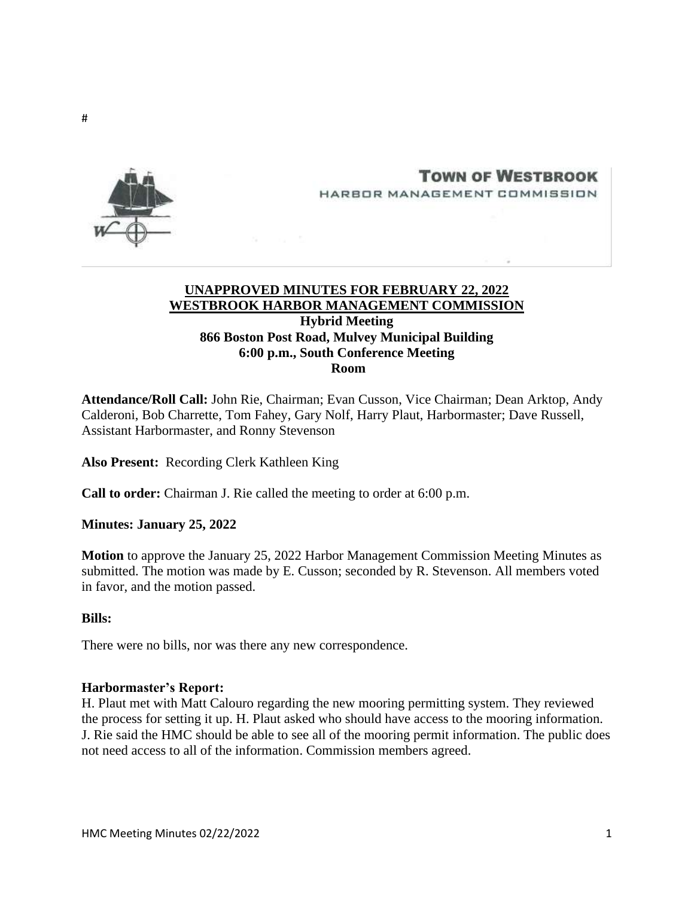

# **TOWN OF WESTBROOK** HARBOR MANAGEMENT COMMISSION

# **UNAPPROVED MINUTES FOR FEBRUARY 22, 2022 WESTBROOK HARBOR MANAGEMENT COMMISSION Hybrid Meeting 866 Boston Post Road, Mulvey Municipal Building 6:00 p.m., South Conference Meeting Room**

**Attendance/Roll Call:** John Rie, Chairman; Evan Cusson, Vice Chairman; Dean Arktop, Andy Calderoni, Bob Charrette, Tom Fahey, Gary Nolf, Harry Plaut, Harbormaster; Dave Russell, Assistant Harbormaster, and Ronny Stevenson

**Also Present:** Recording Clerk Kathleen King

**Call to order:** Chairman J. Rie called the meeting to order at 6:00 p.m.

### **Minutes: January 25, 2022**

**Motion** to approve the January 25, 2022 Harbor Management Commission Meeting Minutes as submitted. The motion was made by E. Cusson; seconded by R. Stevenson. All members voted in favor, and the motion passed.

#### **Bills:**

There were no bills, nor was there any new correspondence.

#### **Harbormaster's Report:**

H. Plaut met with Matt Calouro regarding the new mooring permitting system. They reviewed the process for setting it up. H. Plaut asked who should have access to the mooring information. J. Rie said the HMC should be able to see all of the mooring permit information. The public does not need access to all of the information. Commission members agreed.